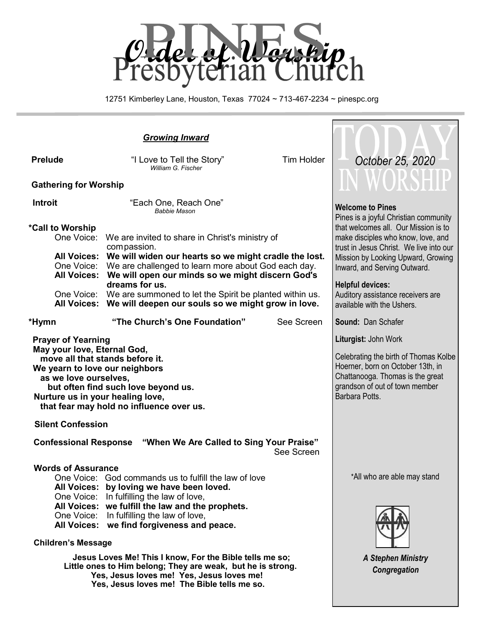

12751 Kimberley Lane, Houston, Texas 77024 ~ 713-467-2234 ~ pinespc.org

| <b>Growing Inward</b>                                                                                                                                                                                                                                                         |                                                                                                                                                                                                                                                                                                                                                                                                   |                   |                                                                                                                                                                                                                                                                                                                                 |  |
|-------------------------------------------------------------------------------------------------------------------------------------------------------------------------------------------------------------------------------------------------------------------------------|---------------------------------------------------------------------------------------------------------------------------------------------------------------------------------------------------------------------------------------------------------------------------------------------------------------------------------------------------------------------------------------------------|-------------------|---------------------------------------------------------------------------------------------------------------------------------------------------------------------------------------------------------------------------------------------------------------------------------------------------------------------------------|--|
| <b>Prelude</b>                                                                                                                                                                                                                                                                | "I Love to Tell the Story"<br>William G. Fischer                                                                                                                                                                                                                                                                                                                                                  | <b>Tim Holder</b> | October 25, 2020                                                                                                                                                                                                                                                                                                                |  |
| <b>Gathering for Worship</b>                                                                                                                                                                                                                                                  | WORSHU                                                                                                                                                                                                                                                                                                                                                                                            |                   |                                                                                                                                                                                                                                                                                                                                 |  |
| <b>Introit</b><br>*Call to Worship<br>One Voice:<br><b>All Voices:</b>                                                                                                                                                                                                        | "Each One, Reach One"<br><b>Babbie Mason</b><br>We are invited to share in Christ's ministry of<br>compassion.<br>All Voices: We will widen our hearts so we might cradle the lost.<br>One Voice: We are challenged to learn more about God each day.<br>We will open our minds so we might discern God's<br>dreams for us.<br>One Voice: We are summoned to let the Spirit be planted within us. |                   | <b>Welcome to Pines</b><br>Pines is a joyful Christian community<br>that welcomes all. Our Mission is to<br>make disciples who know, love, and<br>trust in Jesus Christ. We live into our<br>Mission by Looking Upward, Growing<br>Inward, and Serving Outward.<br><b>Helpful devices:</b><br>Auditory assistance receivers are |  |
| *Hymn                                                                                                                                                                                                                                                                         | All Voices: We will deepen our souls so we might grow in love.<br>"The Church's One Foundation"                                                                                                                                                                                                                                                                                                   | See Screen        | available with the Ushers.<br><b>Sound: Dan Schafer</b>                                                                                                                                                                                                                                                                         |  |
| <b>Prayer of Yearning</b><br>May your love, Eternal God,<br>move all that stands before it.<br>We yearn to love our neighbors<br>as we love ourselves,<br>but often find such love beyond us.<br>Nurture us in your healing love,<br>that fear may hold no influence over us. |                                                                                                                                                                                                                                                                                                                                                                                                   |                   | Liturgist: John Work<br>Celebrating the birth of Thomas Kolbe<br>Hoerner, born on October 13th, in<br>Chattanooga. Thomas is the great<br>grandson of out of town member<br>Barbara Potts.                                                                                                                                      |  |
| <b>Silent Confession</b>                                                                                                                                                                                                                                                      |                                                                                                                                                                                                                                                                                                                                                                                                   |                   |                                                                                                                                                                                                                                                                                                                                 |  |
| <b>Confessional Response "When We Are Called to Sing Your Praise"</b><br>See Screen                                                                                                                                                                                           |                                                                                                                                                                                                                                                                                                                                                                                                   |                   |                                                                                                                                                                                                                                                                                                                                 |  |
| <b>Words of Assurance</b><br><b>All Voices:</b><br>One Voice:<br><b>All Voices:</b><br><b>Children's Message</b>                                                                                                                                                              | One Voice: God commands us to fulfill the law of love<br>All Voices: by loving we have been loved.<br>One Voice: In fulfilling the law of love,<br>we fulfill the law and the prophets.<br>In fulfilling the law of love,<br>we find forgiveness and peace.                                                                                                                                       |                   | *All who are able may stand                                                                                                                                                                                                                                                                                                     |  |
| Jesus Loves Me! This I know, For the Bible tells me so;<br>Little ones to Him belong; They are weak, but he is strong.<br>Yes, Jesus loves me! Yes, Jesus loves me!                                                                                                           |                                                                                                                                                                                                                                                                                                                                                                                                   |                   | <b>A Stephen Ministry</b><br>Congregation                                                                                                                                                                                                                                                                                       |  |

 **Yes, Jesus loves me! The Bible tells me so.**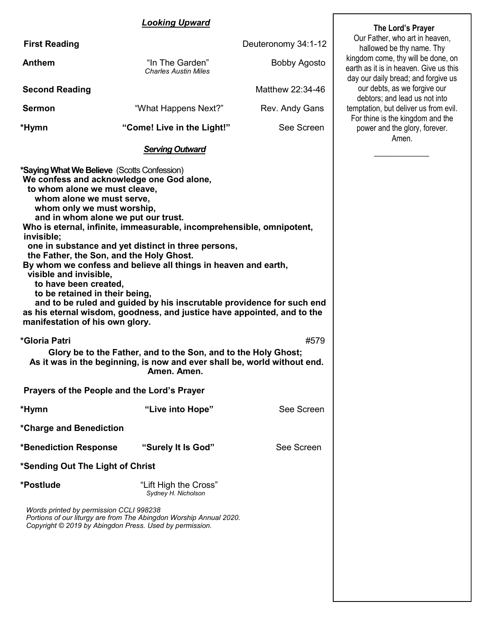#### *Looking Upward*

| <b>First Reading</b>                        |                                                | Deuteronomy 34:1-12 | Our Father, who art in h<br>hallowed be thy name                                        |  |
|---------------------------------------------|------------------------------------------------|---------------------|-----------------------------------------------------------------------------------------|--|
| Anthem                                      | "In The Garden"<br><b>Charles Austin Miles</b> | Bobby Agosto        | kingdom come, thy will be<br>earth as it is in heaven. Gi<br>day our daily bread; and f |  |
| <b>Second Reading</b>                       |                                                | Matthew 22:34-46    | our debts, as we forgiv<br>debtors; and lead us no                                      |  |
| <b>Sermon</b>                               | "What Happens Next?"                           | Rev. Andy Gans      | temptation, but deliver us<br>For thine is the kingdom                                  |  |
| *Hymn                                       | "Come! Live in the Light!"                     | See Screen          | power and the glory, fo<br>Amen.                                                        |  |
|                                             | <b>Serving Outward</b>                         |                     |                                                                                         |  |
| *Saying What We Believe (Scotts Confession) |                                                |                     |                                                                                         |  |

**We confess and acknowledge one God alone, to whom alone we must cleave, whom alone we must serve, whom only we must worship, and in whom alone we put our trust. Who is eternal, infinite, immeasurable, incomprehensible, omnipotent, invisible; one in substance and yet distinct in three persons, the Father, the Son, and the Holy Ghost. By whom we confess and believe all things in heaven and earth, visible and invisible, to have been created, to be retained in their being, and to be ruled and guided by his inscrutable providence for such end as his eternal wisdom, goodness, and justice have appointed, and to the manifestation of his own glory. \*Gloria Patri** #579 **Glory be to the Father, and to the Son, and to the Holy Ghost; As it was in the beginning, is now and ever shall be, world without end. Amen. Amen. Prayers of the People and the Lord's Prayer \*Hymn "Live into Hope"** See Screen **\*Charge and Benediction \*Benediction Response "Surely It Is God"** See Screen **\*Sending Out The Light of Christ \*Postlude** "Lift High the Cross" *Sydney H. Nicholson*

*Words printed by permission CCLI 998238 Portions of our liturgy are from The Abingdon Worship Annual 2020. Copyright © 2019 by Abingdon Press. Used by permission.*

 **The Lord's Prayer** Father, who art in heaven, owed be thy name. Thy come, thy will be done, on it is in heaven. Give us this daily bread; and forgive us debts, as we forgive our ors; and lead us not into on, but deliver us from evil. ne is the kingdom and the er and the glory, forever. Amen.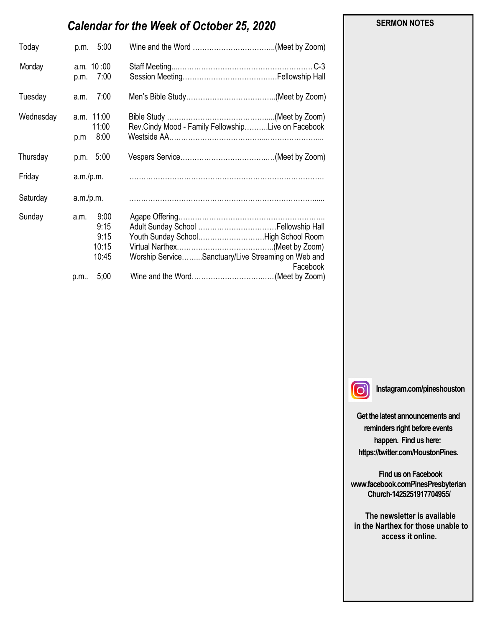# *Calendar for the Week of October 25, 2020*

| 5:00<br>p.m.                                   |                                                                                                       |
|------------------------------------------------|-------------------------------------------------------------------------------------------------------|
| a.m. 10:00<br>7:00<br>p.m.                     | .C-3                                                                                                  |
| 7:00<br>a.m.                                   |                                                                                                       |
| a.m. 11:00<br>11:00<br>8:00<br>p.m             | Rev.Cindy Mood - Family FellowshipLive on Facebook                                                    |
| p.m. 5:00                                      |                                                                                                       |
| a.m./p.m.                                      |                                                                                                       |
| a.m./p.m.                                      |                                                                                                       |
| 9:00<br>a.m.<br>9:15<br>9:15<br>10:15<br>10:45 | Youth Sunday SchoolHigh School Room<br>Worship ServiceSanctuary/Live Streaming on Web and<br>Facebook |
|                                                | 5:00<br>p.m                                                                                           |

#### **SERMON NOTES**

 $\Omega$ 

**Instagram.com/pineshouston**

**Get the latest announcements and reminders right before events happen. Find us here: https://twitter.com/HoustonPines.** 

 **Find us on Facebook www.facebook.comPinesPresbyterian Church-1425251917704955/**

 **The newsletter is available in the Narthex for those unable to access it online.**